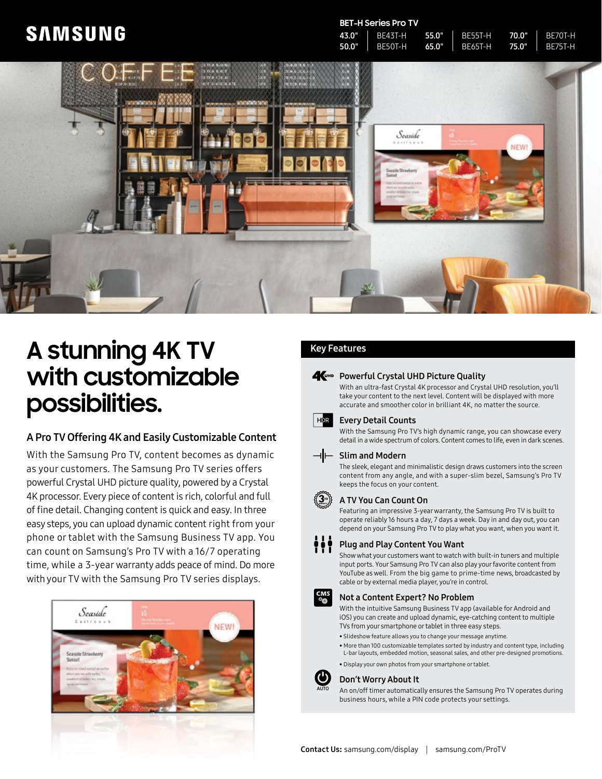## **SAMSUNG**

#### **BET-H Series Pro TV**

| 43.0" | BE43T-H 55.0"   | $T = BE55T-H$ 70.0"          | L BE70T-H      |
|-------|-----------------|------------------------------|----------------|
| 50.0" | I BE50T-H 65.0" | $\blacksquare$ BE65T-H 75.0" | <b>BE75T-H</b> |



# **A stunning 4K TV with customizable possibilities.**

#### A Pro TV Offering 4K and Easily Customizable Content

With the Samsung Pro TV, content becomes as dynamic as your customers. The Samsung Pro TV series offers powerful Crystal UHD picture quality, powered by a Crystal 4K processor. Every piece of content is rich, colorful and full of fine detail. Changing content is quick and easy. In three easy steps, you can upload dynamic content right from your phone or tablet with the Samsung Business TV app. You can count on Samsung's Pro TV with a 16/7 operating time, while a 3-year warranty adds peace of mind. Do more with your TV with the Samsung Pro TV series displays.



### Key Features

#### **A**UHD Powerful Crystal UHD Picture Quality

With an ultra-fast Crystal 4K processor and Crystal UHD resolution, you'll take your content to the next level. Content will be displayed with more accurate and smoother color in brilliant 4K, no matter the source.



#### Every Detail Counts

With the Samsung Pro TV's high dynamic range, you can showcase every detail in a wide spectrum of colors. Content comes to life, even in dark scenes.

#### $\neg$ | $\vdash$  Slim and Modern

The sleek, elegant and minimalistic design draws customers into the screen content from any angle, and with a super-slim bezel, Samsung's Pro TV keeps the focus on your content.



#### A TV You Can Count On

Featuring an impressive 3-year warranty, the Samsung Pro TV is built to operate reliably 16 hours a day, 7 days a week. Day in and day out, you can depend on your Samsung Pro TV to play what you want, when you want it.

Plug and Play Content You Want

Show what your customers want to watch with built-in tuners and multiple input ports. Your Samsung Pro TV can also play your favorite content from YouTube as well. From the big game to prime-time news, broadcasted by cable or by external media player, you're in control.



#### Not a Content Expert? No Problem

With the intuitive Samsung Business TV app (available for Android and iOS) you can create and upload dynamic, eye-catching content to multiple TVs from your smartphone or tablet in three easy steps.

- Slideshow feature allows you to change your message anytime.
- More than 100 customizable templates sorted by industry and content type, including L-bar layouts, embedded motion, seasonal sales, and other pre-designed promotions.
- Display your own photos from your smartphone or tablet.



AUTO

#### Don't Worry About It

An on/off timer automatically ensures the Samsung Pro TV operates during business hours, while a PIN code protects your settings.